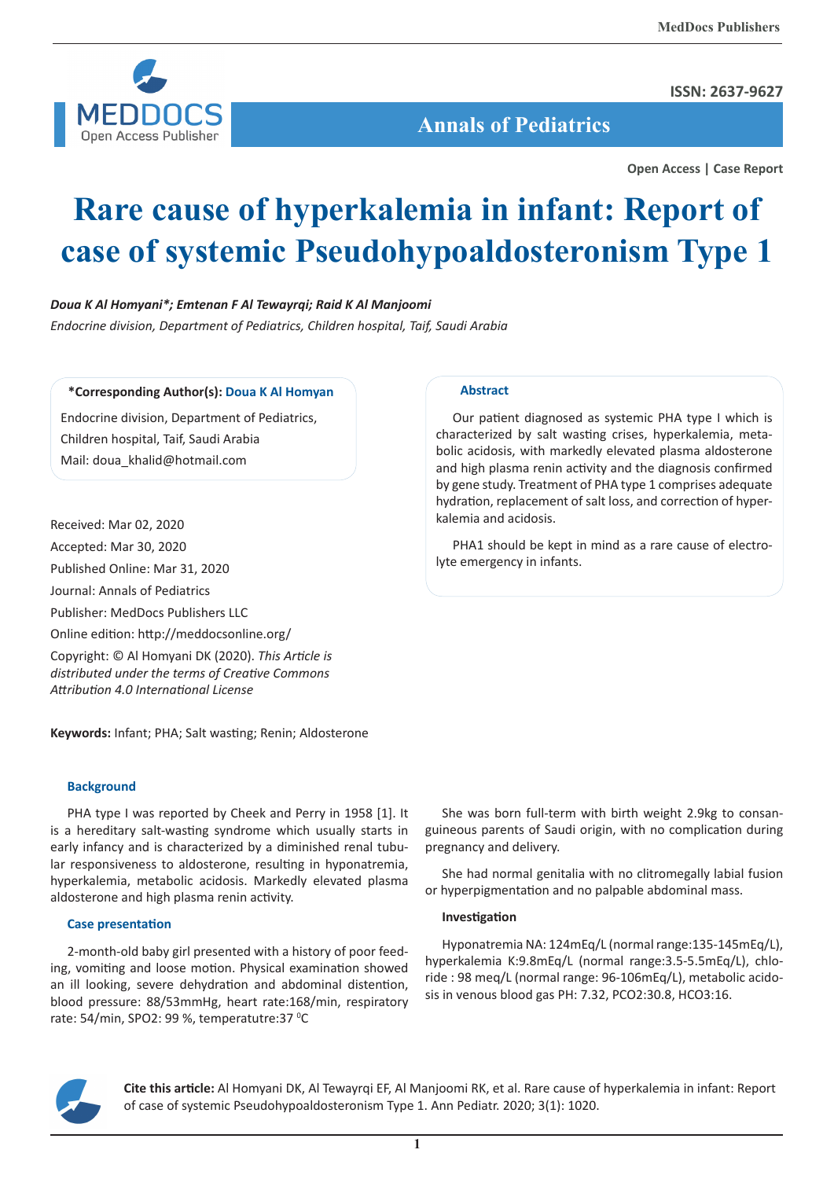

## **ISSN: 2637-9627**

 **Annals of Pediatrics**

**Open Access | Case Report**

# **Rare cause of hyperkalemia in infant: Report of case of systemic Pseudohypoaldosteronism Type 1**

# *Doua K Al Homyani\*; Emtenan F Al Tewayrqi; Raid K Al Manjoomi*

*Endocrine division, Department of Pediatrics, Children hospital, Taif, Saudi Arabia*

# **\*Corresponding Author(s): Doua K Al Homyan**

Endocrine division, Department of Pediatrics, Children hospital, Taif, Saudi Arabia Mail: doua\_khalid@hotmail.com

Received: Mar 02, 2020 Accepted: Mar 30, 2020 Published Online: Mar 31, 2020 Journal: Annals of Pediatrics Publisher: MedDocs Publishers LLC Online edition: http://meddocsonline.org/ Copyright: © Al Homyani DK (2020). *This Article is distributed under the terms of Creative Commons Attribution 4.0 International License*

**Keywords:** Infant; PHA; Salt wasting; Renin; Aldosterone

## **Background**

PHA type I was reported by Cheek and Perry in 1958 [1]. It is a hereditary salt-wasting syndrome which usually starts in early infancy and is characterized by a diminished renal tubular responsiveness to aldosterone, resulting in hyponatremia, hyperkalemia, metabolic acidosis. Markedly elevated plasma aldosterone and high plasma renin activity.

#### **Case presentation**

2-month-old baby girl presented with a history of poor feeding, vomiting and loose motion. Physical examination showed an ill looking, severe dehydration and abdominal distention, blood pressure: 88/53mmHg, heart rate:168/min, respiratory rate: 54/min, SPO2: 99 %, temperatutre:37 °C

# **Abstract**

Our patient diagnosed as systemic PHA type I which is characterized by salt wasting crises, hyperkalemia, metabolic acidosis, with markedly elevated plasma aldosterone and high plasma renin activity and the diagnosis confirmed by gene study. Treatment of PHA type 1 comprises adequate hydration, replacement of salt loss, and correction of hyperkalemia and acidosis.

PHA1 should be kept in mind as a rare cause of electrolyte emergency in infants.

She was born full-term with birth weight 2.9kg to consanguineous parents of Saudi origin, with no complication during pregnancy and delivery.

She had normal genitalia with no clitromegally labial fusion or hyperpigmentation and no palpable abdominal mass.

#### **Investigation**

Hyponatremia NA: 124mEq/L (normal range:135-145mEq/L), hyperkalemia K:9.8mEq/L (normal range:3.5-5.5mEq/L), chloride : 98 meq/L (normal range: 96-106mEq/L), metabolic acidosis in venous blood gas PH: 7.32, PCO2:30.8, HCO3:16.



**Cite this article:** Al Homyani DK, Al Tewayrqi EF, Al Manjoomi RK, et al. Rare cause of hyperkalemia in infant: Report of case of systemic Pseudohypoaldosteronism Type 1. Ann Pediatr. 2020; 3(1): 1020.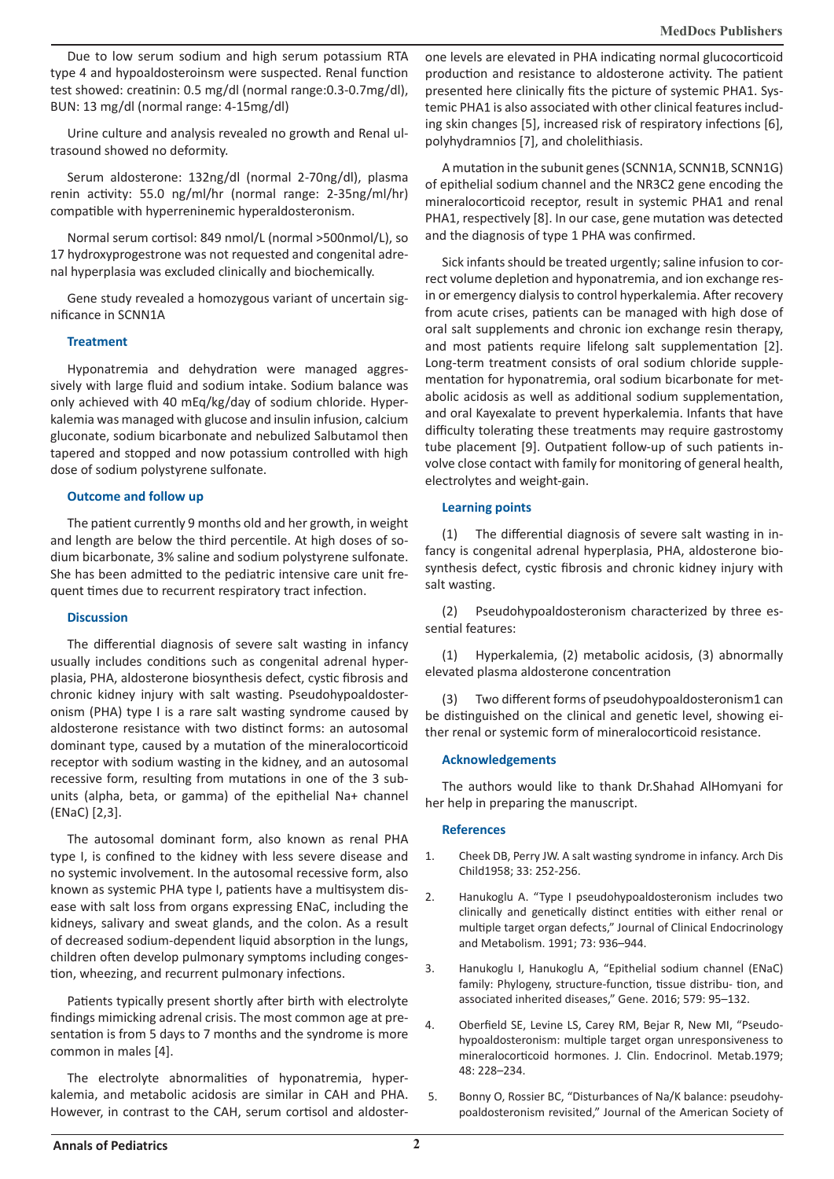Due to low serum sodium and high serum potassium RTA type 4 and hypoaldosteroinsm were suspected. Renal function test showed: creatinin: 0.5 mg/dl (normal range:0.3-0.7mg/dl), BUN: 13 mg/dl (normal range: 4-15mg/dl)

Urine culture and analysis revealed no growth and Renal ultrasound showed no deformity.

Serum aldosterone: 132ng/dl (normal 2-70ng/dl), plasma renin activity: 55.0 ng/ml/hr (normal range: 2-35ng/ml/hr) compatible with hyperreninemic hyperaldosteronism.

Normal serum cortisol: 849 nmol/L (normal >500nmol/L), so 17 hydroxyprogestrone was not requested and congenital adrenal hyperplasia was excluded clinically and biochemically.

Gene study revealed a homozygous variant of uncertain significance in SCNN1A

## **Treatment**

Hyponatremia and dehydration were managed aggressively with large fluid and sodium intake. Sodium balance was only achieved with 40 mEq/kg/day of sodium chloride. Hyperkalemia was managed with glucose and insulin infusion, calcium gluconate, sodium bicarbonate and nebulized Salbutamol then tapered and stopped and now potassium controlled with high dose of sodium polystyrene sulfonate.

## **Outcome and follow up**

The patient currently 9 months old and her growth, in weight and length are below the third percentile. At high doses of sodium bicarbonate, 3% saline and sodium polystyrene sulfonate. She has been admitted to the pediatric intensive care unit frequent times due to recurrent respiratory tract infection.

## **Discussion**

The differential diagnosis of severe salt wasting in infancy usually includes conditions such as congenital adrenal hyperplasia, PHA, aldosterone biosynthesis defect, cystic fibrosis and chronic kidney injury with salt wasting. Pseudohypoaldosteronism (PHA) type I is a rare salt wasting syndrome caused by aldosterone resistance with two distinct forms: an autosomal dominant type, caused by a mutation of the mineralocorticoid receptor with sodium wasting in the kidney, and an autosomal recessive form, resulting from mutations in one of the 3 subunits (alpha, beta, or gamma) of the epithelial Na+ channel (ENaC) [2,3].

The autosomal dominant form, also known as renal PHA type I, is confined to the kidney with less severe disease and no systemic involvement. In the autosomal recessive form, also known as systemic PHA type I, patients have a multisystem disease with salt loss from organs expressing ENaC, including the kidneys, salivary and sweat glands, and the colon. As a result of decreased sodium-dependent liquid absorption in the lungs, children often develop pulmonary symptoms including congestion, wheezing, and recurrent pulmonary infections.

Patients typically present shortly after birth with electrolyte findings mimicking adrenal crisis. The most common age at presentation is from 5 days to 7 months and the syndrome is more common in males [4].

The electrolyte abnormalities of hyponatremia, hyperkalemia, and metabolic acidosis are similar in CAH and PHA. However, in contrast to the CAH, serum cortisol and aldosterone levels are elevated in PHA indicating normal glucocorticoid production and resistance to aldosterone activity. The patient presented here clinically fits the picture of systemic PHA1. Systemic PHA1 is also associated with other clinical features including skin changes [5], increased risk of respiratory infections [6], polyhydramnios [7], and cholelithiasis.

A mutation in the subunit genes (SCNN1A, SCNN1B, SCNN1G) of epithelial sodium channel and the NR3C2 gene encoding the mineralocorticoid receptor, result in systemic PHA1 and renal PHA1, respectively [8]. In our case, gene mutation was detected and the diagnosis of type 1 PHA was confirmed.

Sick infants should be treated urgently; saline infusion to correct volume depletion and hyponatremia, and ion exchange resin or emergency dialysis to control hyperkalemia. After recovery from acute crises, patients can be managed with high dose of oral salt supplements and chronic ion exchange resin therapy, and most patients require lifelong salt supplementation [2]. Long-term treatment consists of oral sodium chloride supplementation for hyponatremia, oral sodium bicarbonate for metabolic acidosis as well as additional sodium supplementation, and oral Kayexalate to prevent hyperkalemia. Infants that have difficulty tolerating these treatments may require gastrostomy tube placement [9]. Outpatient follow-up of such patients involve close contact with family for monitoring of general health, electrolytes and weight-gain.

# **Learning points**

(1) The differential diagnosis of severe salt wasting in infancy is congenital adrenal hyperplasia, PHA, aldosterone biosynthesis defect, cystic fibrosis and chronic kidney injury with salt wasting.

(2) Pseudohypoaldosteronism characterized by three essential features:

(1) Hyperkalemia, (2) metabolic acidosis, (3) abnormally elevated plasma aldosterone concentration

(3) Two different forms of pseudohypoaldosteronism1 can be distinguished on the clinical and genetic level, showing either renal or systemic form of mineralocorticoid resistance.

## **Acknowledgements**

The authors would like to thank Dr.Shahad AlHomyani for her help in preparing the manuscript.

## **References**

- 1. Cheek DB, Perry JW. A salt wasting syndrome in infancy. Arch Dis Child1958; 33: 252-256.
- 2. Hanukoglu A. "Type I pseudohypoaldosteronism includes two clinically and genetically distinct entities with either renal or multiple target organ defects," Journal of Clinical Endocrinology and Metabolism. 1991; 73: 936–944.
- 3. Hanukoglu I, Hanukoglu A, "Epithelial sodium channel (ENaC) family: Phylogeny, structure-function, tissue distribu- tion, and associated inherited diseases," Gene. 2016; 579: 95–132.
- 4. Oberfield SE, Levine LS, Carey RM, Bejar R, New MI, "Pseudohypoaldosteronism: multiple target organ unresponsiveness to mineralocorticoid hormones. J. Clin. Endocrinol. Metab.1979; 48: 228–234.
- 5. Bonny O, Rossier BC, "Disturbances of Na/K balance: pseudohypoaldosteronism revisited," Journal of the American Society of